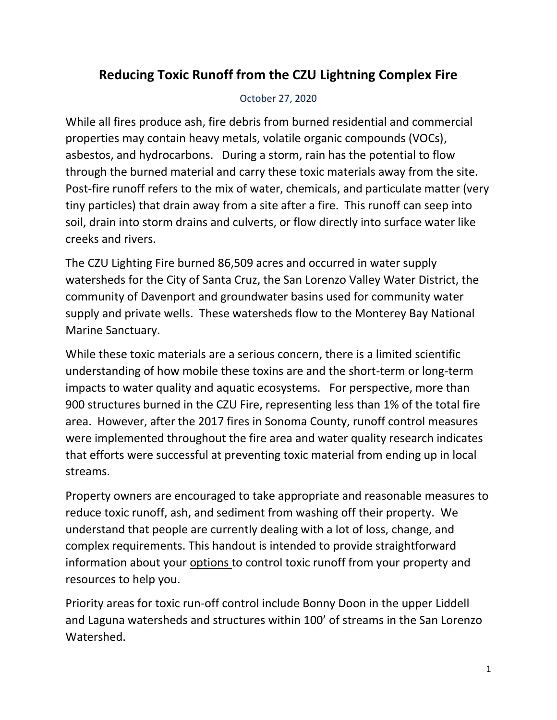# **Reducing Toxic Runoff from the CZU Lightning Complex Fire**

#### October 27, 2020

While all fires produce ash, fire debris from burned residential and commercial properties may contain heavy metals, volatile organic compounds (VOCs), asbestos, and hydrocarbons. During a storm, rain has the potential to flow through the burned material and carry these toxic materials away from the site. Post-fire runoff refers to the mix of water, chemicals, and particulate matter (very tiny particles) that drain away from a site after a fire. This runoff can seep into soil, drain into storm drains and culverts, or flow directly into surface water like creeks and rivers.

The CZU Lighting Fire burned 86,509 acres and occurred in water supply watersheds for the City of Santa Cruz, the San Lorenzo Valley Water District, the community of Davenport and groundwater basins used for community water supply and private wells. These watersheds flow to the Monterey Bay National Marine Sanctuary.

While these toxic materials are a serious concern, there is a limited scientific understanding of how mobile these toxins are and the short-term or long-term impacts to water quality and aquatic ecosystems. For perspective, more than 900 structures burned in the CZU Fire, representing less than 1% of the total fire area. However, after the 2017 fires in Sonoma County, runoff control measures were implemented throughout the fire area and water quality research indicates that efforts were successful at preventing toxic material from ending up in local streams.

Property owners are encouraged to take appropriate and reasonable measures to reduce toxic runoff, ash, and sediment from washing off their property. We understand that people are currently dealing with a lot of loss, change, and complex requirements. This handout is intended to provide straightforward information about your options to control toxic runoff from your property and resources to help you.

Priority areas for toxic run-off control include Bonny Doon in the upper Liddell and Laguna watersheds and structures within 100' of streams in the San Lorenzo Watershed.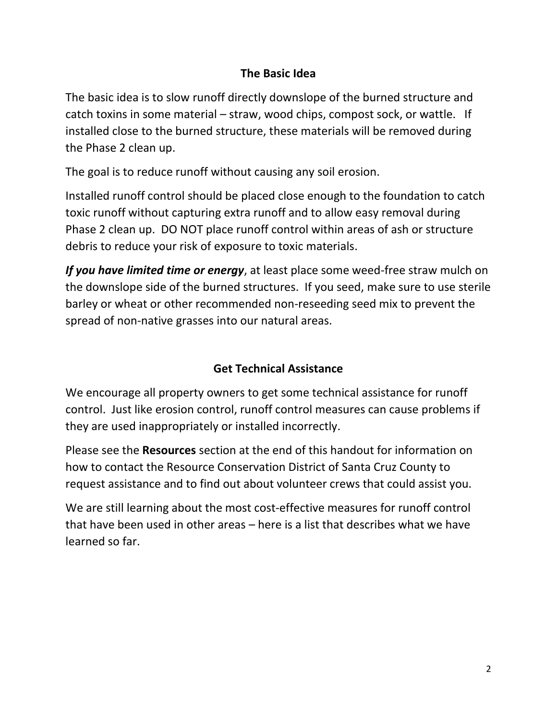## **The Basic Idea**

The basic idea is to slow runoff directly downslope of the burned structure and catch toxins in some material – straw, wood chips, compost sock, or wattle. If installed close to the burned structure, these materials will be removed during the Phase 2 clean up.

The goal is to reduce runoff without causing any soil erosion.

Installed runoff control should be placed close enough to the foundation to catch toxic runoff without capturing extra runoff and to allow easy removal during Phase 2 clean up. DO NOT place runoff control within areas of ash or structure debris to reduce your risk of exposure to toxic materials.

*If you have limited time or energy*, at least place some weed-free straw mulch on the downslope side of the burned structures. If you seed, make sure to use sterile barley or wheat or other recommended non-reseeding seed mix to prevent the spread of non-native grasses into our natural areas.

## **Get Technical Assistance**

We encourage all property owners to get some technical assistance for runoff control. Just like erosion control, runoff control measures can cause problems if they are used inappropriately or installed incorrectly.

Please see the **Resources** section at the end of this handout for information on how to contact the Resource Conservation District of Santa Cruz County to request assistance and to find out about volunteer crews that could assist you.

We are still learning about the most cost-effective measures for runoff control that have been used in other areas – here is a list that describes what we have learned so far.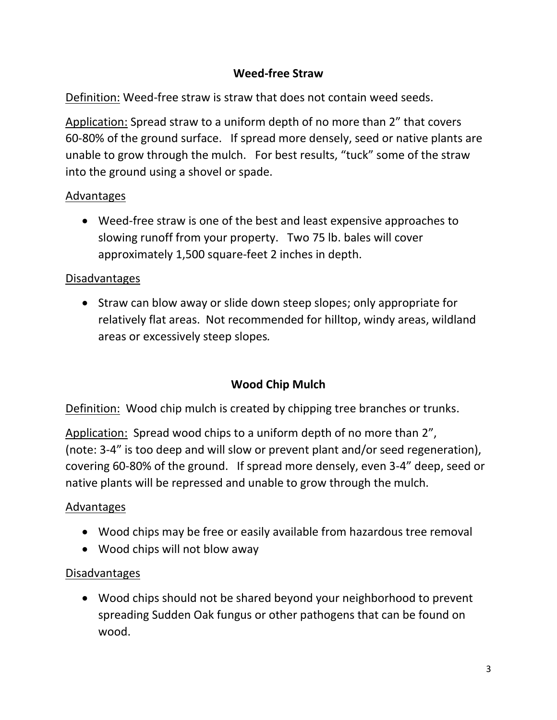## **Weed-free Straw**

Definition: Weed-free straw is straw that does not contain weed seeds.

Application: Spread straw to a uniform depth of no more than 2" that covers 60-80% of the ground surface. If spread more densely, seed or native plants are unable to grow through the mulch. For best results, "tuck" some of the straw into the ground using a shovel or spade.

#### Advantages

• Weed-free straw is one of the best and least expensive approaches to slowing runoff from your property. Two 75 lb. bales will cover approximately 1,500 square-feet 2 inches in depth.

#### Disadvantages

• Straw can blow away or slide down steep slopes; only appropriate for relatively flat areas. Not recommended for hilltop, windy areas, wildland areas or excessively steep slopes*.*

## **Wood Chip Mulch**

Definition: Wood chip mulch is created by chipping tree branches or trunks.

Application: Spread wood chips to a uniform depth of no more than 2", (note: 3-4" is too deep and will slow or prevent plant and/or seed regeneration), covering 60-80% of the ground. If spread more densely, even 3-4" deep, seed or native plants will be repressed and unable to grow through the mulch.

## Advantages

- Wood chips may be free or easily available from hazardous tree removal
- Wood chips will not blow away

#### Disadvantages

• Wood chips should not be shared beyond your neighborhood to prevent spreading Sudden Oak fungus or other pathogens that can be found on wood.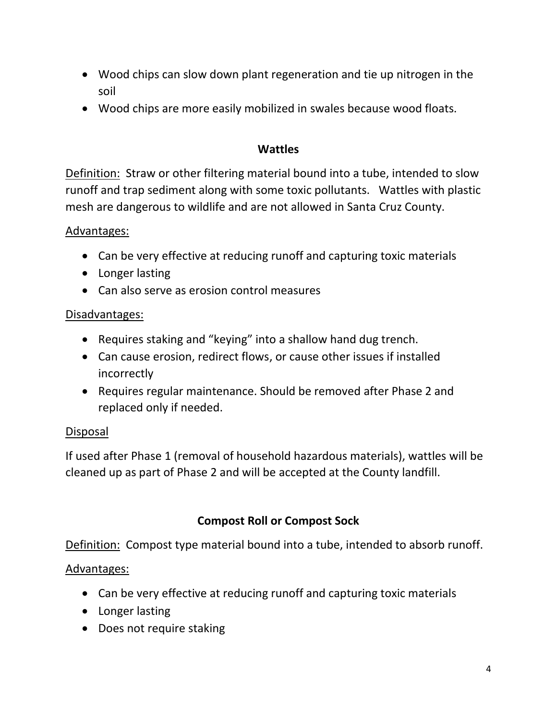- Wood chips can slow down plant regeneration and tie up nitrogen in the soil
- Wood chips are more easily mobilized in swales because wood floats.

### **Wattles**

Definition: Straw or other filtering material bound into a tube, intended to slow runoff and trap sediment along with some toxic pollutants. Wattles with plastic mesh are dangerous to wildlife and are not allowed in Santa Cruz County.

#### Advantages:

- Can be very effective at reducing runoff and capturing toxic materials
- Longer lasting
- Can also serve as erosion control measures

## Disadvantages:

- Requires staking and "keying" into a shallow hand dug trench.
- Can cause erosion, redirect flows, or cause other issues if installed incorrectly
- Requires regular maintenance. Should be removed after Phase 2 and replaced only if needed.

## Disposal

If used after Phase 1 (removal of household hazardous materials), wattles will be cleaned up as part of Phase 2 and will be accepted at the County landfill.

## **Compost Roll or Compost Sock**

Definition: Compost type material bound into a tube, intended to absorb runoff.

## Advantages:

- Can be very effective at reducing runoff and capturing toxic materials
- Longer lasting
- Does not require staking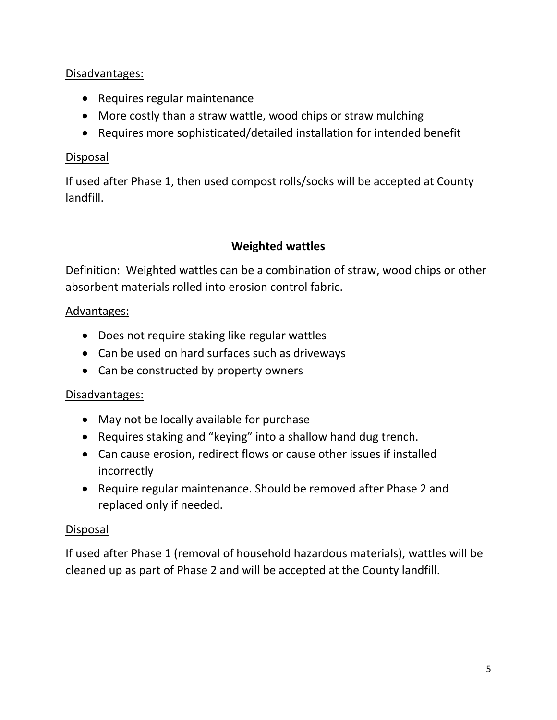## Disadvantages:

- Requires regular maintenance
- More costly than a straw wattle, wood chips or straw mulching
- Requires more sophisticated/detailed installation for intended benefit

#### Disposal

If used after Phase 1, then used compost rolls/socks will be accepted at County landfill.

## **Weighted wattles**

Definition: Weighted wattles can be a combination of straw, wood chips or other absorbent materials rolled into erosion control fabric.

## Advantages:

- Does not require staking like regular wattles
- Can be used on hard surfaces such as driveways
- Can be constructed by property owners

#### Disadvantages:

- May not be locally available for purchase
- Requires staking and "keying" into a shallow hand dug trench.
- Can cause erosion, redirect flows or cause other issues if installed incorrectly
- Require regular maintenance. Should be removed after Phase 2 and replaced only if needed.

#### Disposal

If used after Phase 1 (removal of household hazardous materials), wattles will be cleaned up as part of Phase 2 and will be accepted at the County landfill.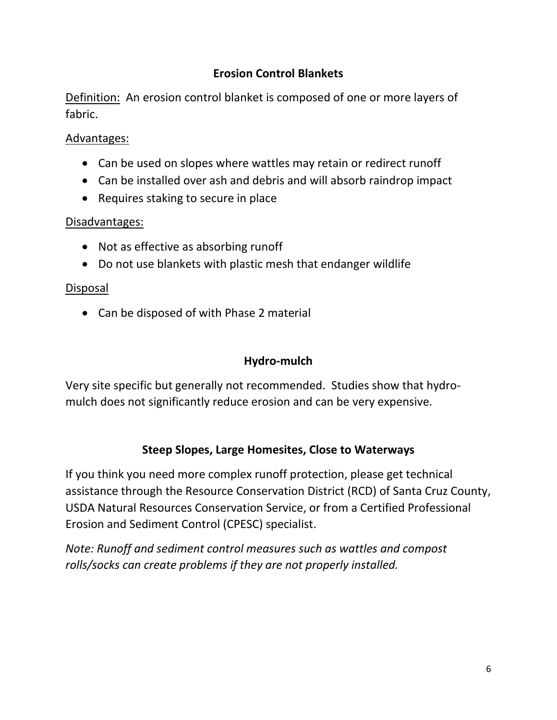## **Erosion Control Blankets**

Definition: An erosion control blanket is composed of one or more layers of fabric.

#### Advantages:

- Can be used on slopes where wattles may retain or redirect runoff
- Can be installed over ash and debris and will absorb raindrop impact
- Requires staking to secure in place

#### Disadvantages:

- Not as effective as absorbing runoff
- Do not use blankets with plastic mesh that endanger wildlife

#### Disposal

• Can be disposed of with Phase 2 material

## **Hydro-mulch**

Very site specific but generally not recommended. Studies show that hydromulch does not significantly reduce erosion and can be very expensive.

## **Steep Slopes, Large Homesites, Close to Waterways**

If you think you need more complex runoff protection, please get technical assistance through the Resource Conservation District (RCD) of Santa Cruz County, USDA Natural Resources Conservation Service, or from a Certified Professional Erosion and Sediment Control (CPESC) specialist.

*Note: Runoff and sediment control measures such as wattles and compost rolls/socks can create problems if they are not properly installed.*